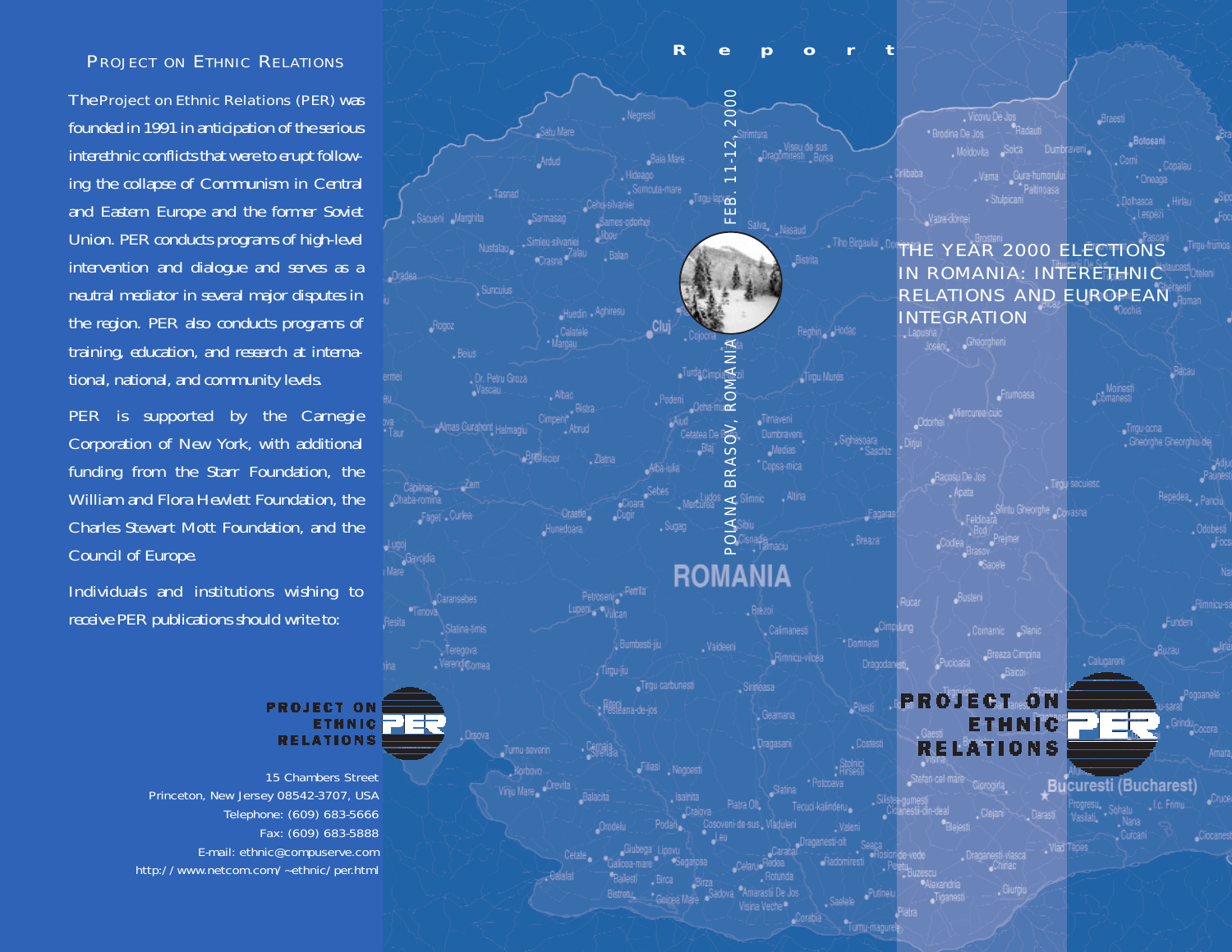### **PROJECT ON ETHNIC RELATIONS**

The Project on Ethnic Relations (PER) was founded in 1991 in anticipation of the serious interethnic conflicts that were to erupt following the collapse of Communism in Central and Eastern Europe and the former Soviet Union. PER conducts programs of high-level intervention and dialogue and serves as a neutral mediator in several major disputes in the region. PER also conducts programs of training, education, and research at international, national, and community levels.

PER is supported by the Carnegie Corporation of New York, with additional funding from the Starr Foundation, the William and Flora Hewlett Foundation, the Charles Stewart Mott Foundation, and the Council of Europe.

Individuals and institutions wishing to receive PER publications should write to:



15 Chambers Street Princeton, New Jersey 08542-3707, USA Telephone: (609) 683-5666 Fax: (609) 683-5888 E-mail: ethnic@compuserve.com http://www.netcom.com/~ethnic/per.html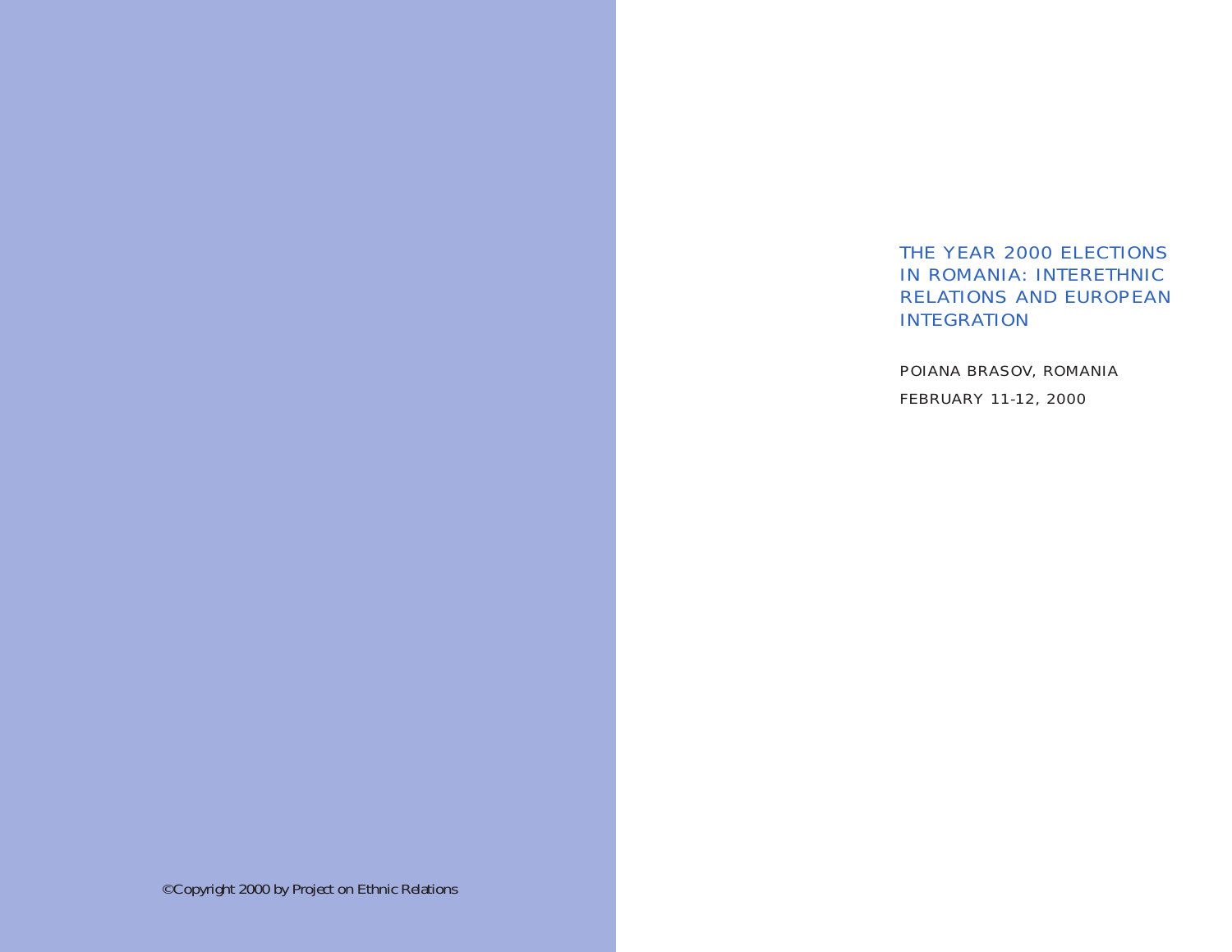# THE YEAR 2000 ELECTIONS IN ROMANIA: INTERETHNICRELATIONS AND EUROPEANINTEGRATION

POIANA BRASOV, ROMANIA FEBRUARY 11-12, 2000

©Copyright 2000 by Project on Ethnic Relations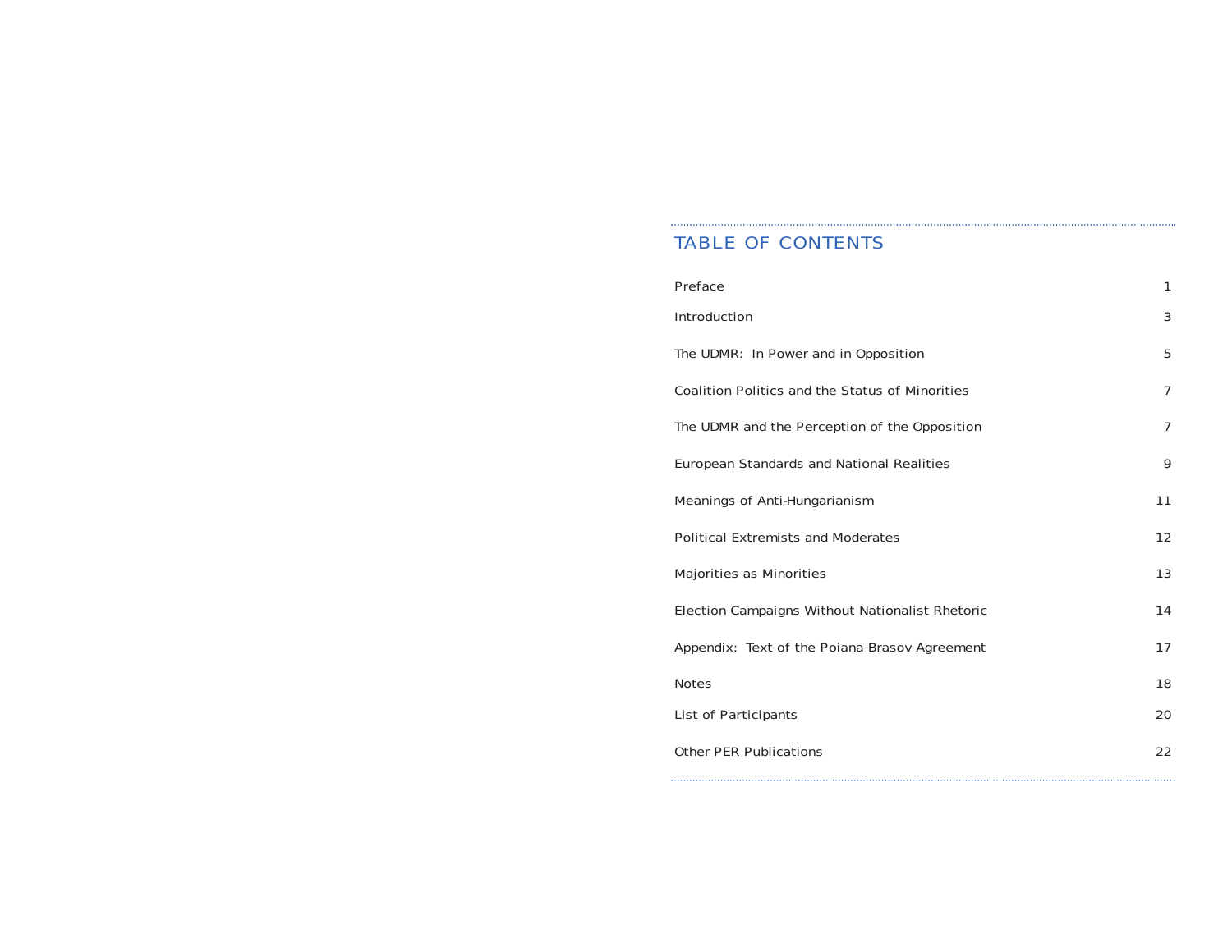### TABLE OF CONTENTS

| <b>Preface</b>                                         | 1              |
|--------------------------------------------------------|----------------|
| <b>Introduction</b>                                    | 3              |
| The UDMR: In Power and in Opposition                   | 5              |
| <b>Coalition Politics and the Status of Minorities</b> | $\overline{7}$ |
| The UDMR and the Perception of the Opposition          | $\overline{7}$ |
| <b>European Standards and National Realities</b>       | 9              |
| <b>Meanings of Anti-Hungarianism</b>                   | 11             |
| <b>Political Extremists and Moderates</b>              | 12             |
| <b>Majorities as Minorities</b>                        | 13             |
| <b>Election Campaigns Without Nationalist Rhetoric</b> | 14             |
| Appendix: Text of the Poiana Brasov Agreement          | 17             |
| <b>Notes</b>                                           | 18             |
| <b>List of Participants</b>                            | 20             |
| <b>Other PER Publications</b>                          | 22             |
|                                                        |                |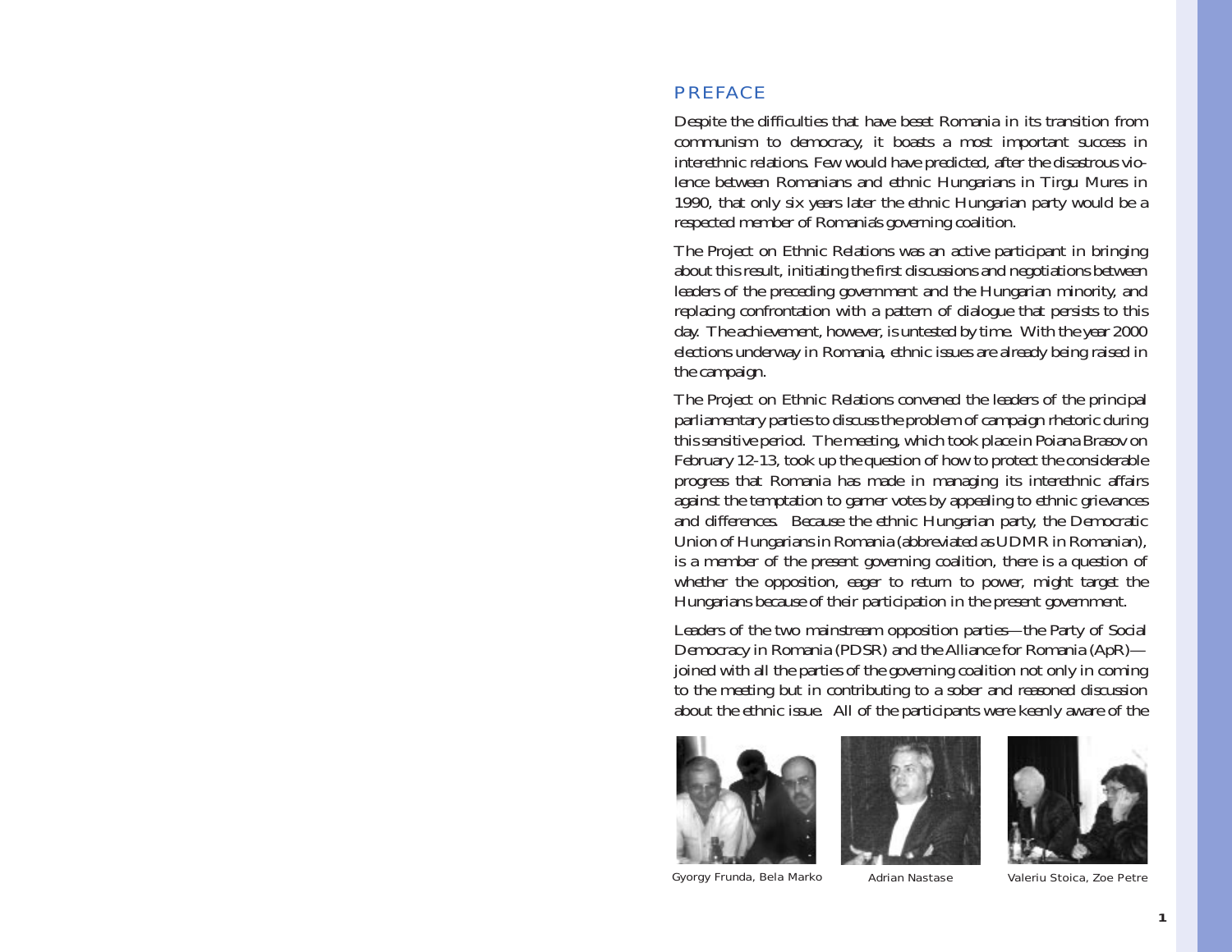## PREFACE

Despite the difficulties that have beset Romania in its transition from communism to democracy, it boasts a most important success in interethnic relations. Few would have predicted, after the disastrous violence between Romanians and ethnic Hungarians in Tirgu Mures in 1990, that only six years later the ethnic Hungarian party would be a respected member of Romania's governing coalition.

The Project on Ethnic Relations was an active participant in bringing about this result, initiating the first discussions and negotiations between leaders of the preceding government and the Hungarian minority, and replacing confrontation with a pattern of dialogue that persists to this day. The achievement, however, is untested by time. With the year 2000 elections underway in Romania, ethnic issues are already being raised in the campaign.

The Project on Ethnic Relations convened the leaders of the principal parliamentary parties to discuss the problem of campaign rhetoric during this sensitive period. The meeting, which took place in Poiana Brasov on February 12-13, took up the question of how to protect the considerable progress that Romania has made in managing its interethnic affairs against the temptation to garner votes by appealing to ethnic grievances and differences. Because the ethnic Hungarian party, the Democratic Union of Hungarians in Romania (abbreviated as UDMR in Romanian), is a member of the present governing coalition, there is a question of whether the opposition, eager to return to power, might target the Hungarians because of their participation in the present government.

Leaders of the two mainstream opposition parties—the Party of Social Democracy in Romania (PDSR) and the Alliance for Romania (ApR) joined with all the parties of the governing coalition not only in coming to the meeting but in contributing to a sober and reasoned discussion about the ethnic issue. All of the participants were keenly aware of the





Gyorgy Frunda, Bela Marko Adrian Nastase Valeriu Stoica, Zoe Petre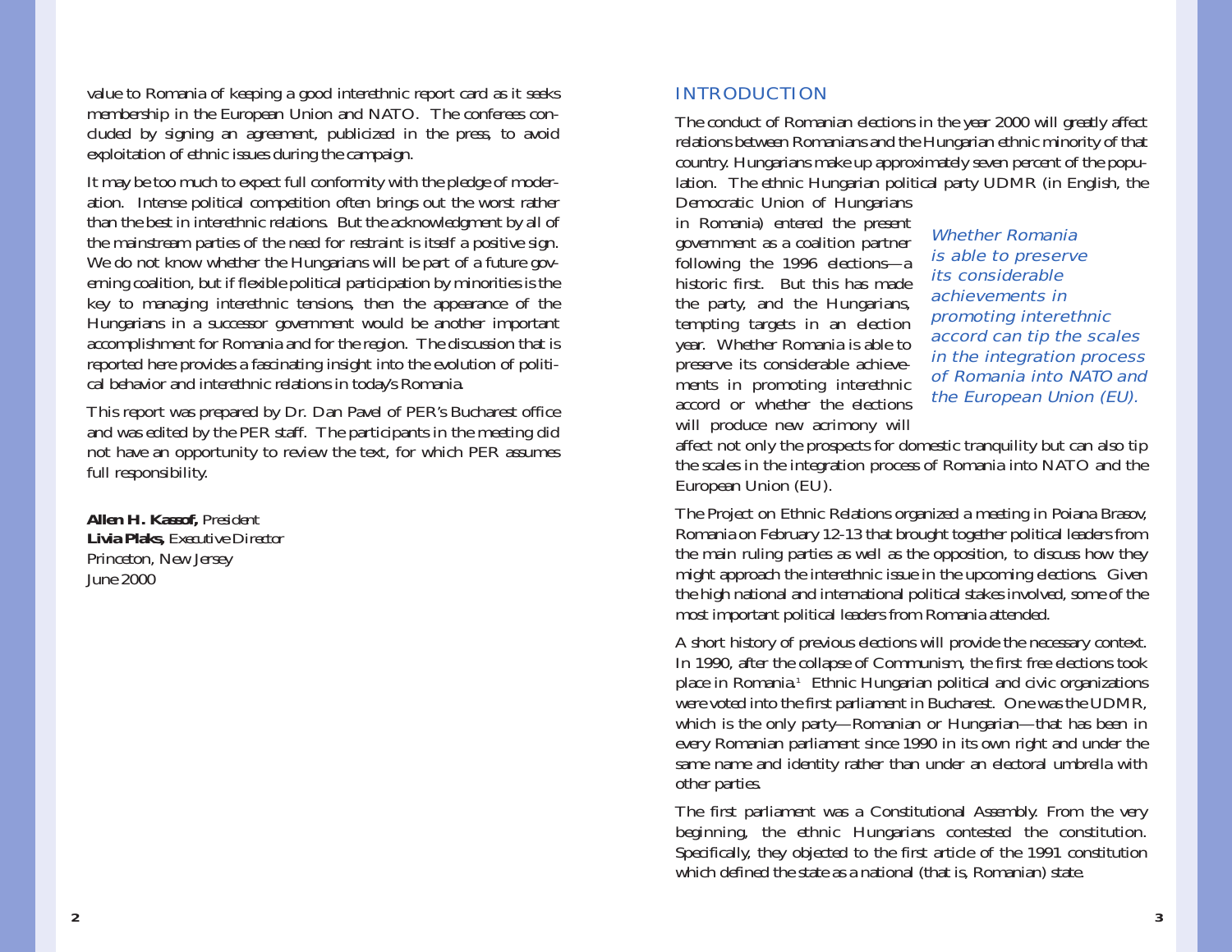value to Romania of keeping a good interethnic report card as it seeks membership in the European Union and NATO. The conferees concluded by signing an agreement, publicized in the press, to avoid exploitation of ethnic issues during the campaign.

It may be too much to expect full conformity with the pledge of moderation. Intense political competition often brings out the worst rather than the best in interethnic relations. But the acknowledgment by all of the mainstream parties of the need for restraint is itself a positive sign. We do not know whether the Hungarians will be part of a future governing coalition, but if flexible political participation by minorities is the key to managing interethnic tensions, then the appearance of the Hungarians in a successor government would be another important accomplishment for Romania and for the region. The discussion that is reported here provides a fascinating insight into the evolution of political behavior and interethnic relations in today's Romania.

This report was prepared by Dr. Dan Pavel of PER's Bucharest office and was edited by the PER staff. The participants in the meeting did not have an opportunity to review the text, for which PER assumes full responsibility.

**Allen H. Kassof,** *President* **Livia Plaks,** *Executive Director* Princeton, New Jersey June 2000

## INTRODUCTION

The conduct of Romanian elections in the year 2000 will greatly affect relations between Romanians and the Hungarian ethnic minority of that country. Hungarians make up approximately seven percent of the population. The ethnic Hungarian political party UDMR (in English, the

Democratic Union of Hungarians in Romania) entered the present government as a coalition partner following the 1996 elections—a historic first. But this has madethe party, and the Hungarians, tempting targets in an election year. Whether Romania is able to preserve its considerable achievements in promoting interethnic accord or whether the electionswill produce new acrimony will

Whether Romania is able to preserve its considerable achievements in promoting interethnic accord can tip the scales in the integration process of Romania into NATO andthe European Union (EU).

affect not only the prospects for domestic tranquility but can also tip the scales in the integration process of Romania into NATO and the European Union (EU).

The Project on Ethnic Relations organized a meeting in Poiana Brasov, Romania on February 12-13 that brought together political leaders from the main ruling parties as well as the opposition, to discuss how they might approach the interethnic issue in the upcoming elections. Given the high national and international political stakes involved, some of the most important political leaders from Romania attended.

A short history of previous elections will provide the necessary context. In 1990, after the collapse of Communism, the first free elections took place in Romania.1 Ethnic Hungarian political and civic organizations were voted into the first parliament in Bucharest. One was the UDMR, which is the only party—Romanian or Hungarian—that has been in every Romanian parliament since 1990 in its own right and under the same name and identity rather than under an electoral umbrella with other parties.

The first parliament was a Constitutional Assembly. From the very beginning, the ethnic Hungarians contested the constitution. Specifically, they objected to the first article of the 1991 constitution which defined the state as a national (that is, Romanian) state.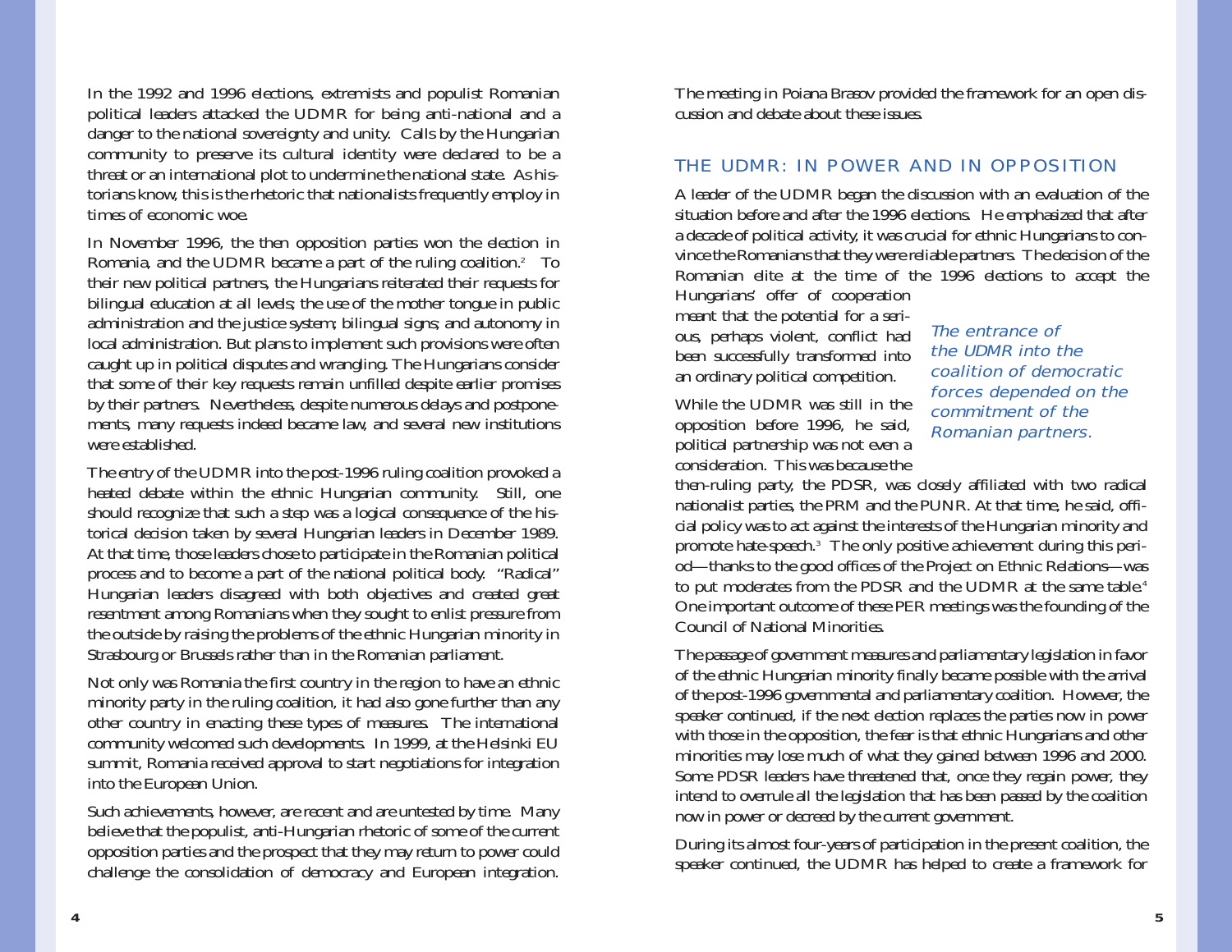In the 1992 and 1996 elections, extremists and populist Romanian political leaders attacked the UDMR for being anti-national and a danger to the national sovereignty and unity. Calls by the Hungarian community to preserve its cultural identity were declared to be a threat or an international plot to undermine the national state. As historians know, this is the rhetoric that nationalists frequently employ in times of economic woe.

In November 1996, the then opposition parties won the election in Romania, and the UDMR became a part of the ruling coalition.<sup>2</sup> To their new political partners, the Hungarians reiterated their requests for bilingual education at all levels; the use of the mother tongue in public administration and the justice system; bilingual signs; and autonomy in local administration. But plans to implement such provisions were often caught up in political disputes and wrangling. The Hungarians consider that some of their key requests remain unfilled despite earlier promises by their partners. Nevertheless, despite numerous delays and postponements, many requests indeed became law, and several new institutions were established.

The entry of the UDMR into the post-1996 ruling coalition provoked a heated debate within the ethnic Hungarian community. Still, one should recognize that such a step was a logical consequence of the historical decision taken by several Hungarian leaders in December 1989. At that time, those leaders chose to participate in the Romanian political process and to become a part of the national political body. "Radical" Hungarian leaders disagreed with both objectives and created great resentment among Romanians when they sought to enlist pressure from the outside by raising the problems of the ethnic Hungarian minority in Strasbourg or Brussels rather than in the Romanian parliament.

Not only was Romania the first country in the region to have an ethnic minority party in the ruling coalition, it had also gone further than any other country in enacting these types of measures. The international community welcomed such developments. In 1999, at the Helsinki EU summit, Romania received approval to start negotiations for integration into the European Union.

Such achievements, however, are recent and are untested by time. Many believe that the populist, anti-Hungarian rhetoric of some of the current opposition parties and the prospect that they may return to power could challenge the consolidation of democracy and European integration.

The meeting in Poiana Brasov provided the framework for an open discussion and debate about these issues.

## THE UDMR: IN POWER AND IN OPPOSITION

A leader of the UDMR began the discussion with an evaluation of the situation before and after the 1996 elections. He emphasized that after a decade of political activity, it was crucial for ethnic Hungarians to convince the Romanians that they were reliable partners. The decision of the Romanian elite at the time of the 1996 elections to accept the Hungarians' offer of cooperation

meant that the potential for a serious, perhaps violent, conflict had been successfully transformed into an ordinary political competition.

While the UDMR was still in theopposition before 1996, he said, political partnership was not even a consideration. This was because the The entrance of the UDMR into the coalition of democraticforces depended on the commitment of theRomanian partners.

then-ruling party, the PDSR, was closely affiliated with two radical nationalist parties, the PRM and the PUNR. At that time, he said, official policy was to act against the interests of the Hungarian minority and promote hate-speech.3 The only positive achievement during this period—thanks to the good offices of the Project on Ethnic Relations—was to put moderates from the PDSR and the UDMR at the same table.<sup>4</sup> One important outcome of these PER meetings was the founding of the Council of National Minorities.

The passage of government measures and parliamentary legislation in favor of the ethnic Hungarian minority finally became possible with the arrival of the post-1996 governmental and parliamentary coalition. However, the speaker continued, if the next election replaces the parties now in power with those in the opposition, the fear is that ethnic Hungarians and other minorities may lose much of what they gained between 1996 and 2000. Some PDSR leaders have threatened that, once they regain power, they intend to overrule all the legislation that has been passed by the coalition now in power or decreed by the current government.

During its almost four-years of participation in the present coalition, the speaker continued, the UDMR has helped to create a framework for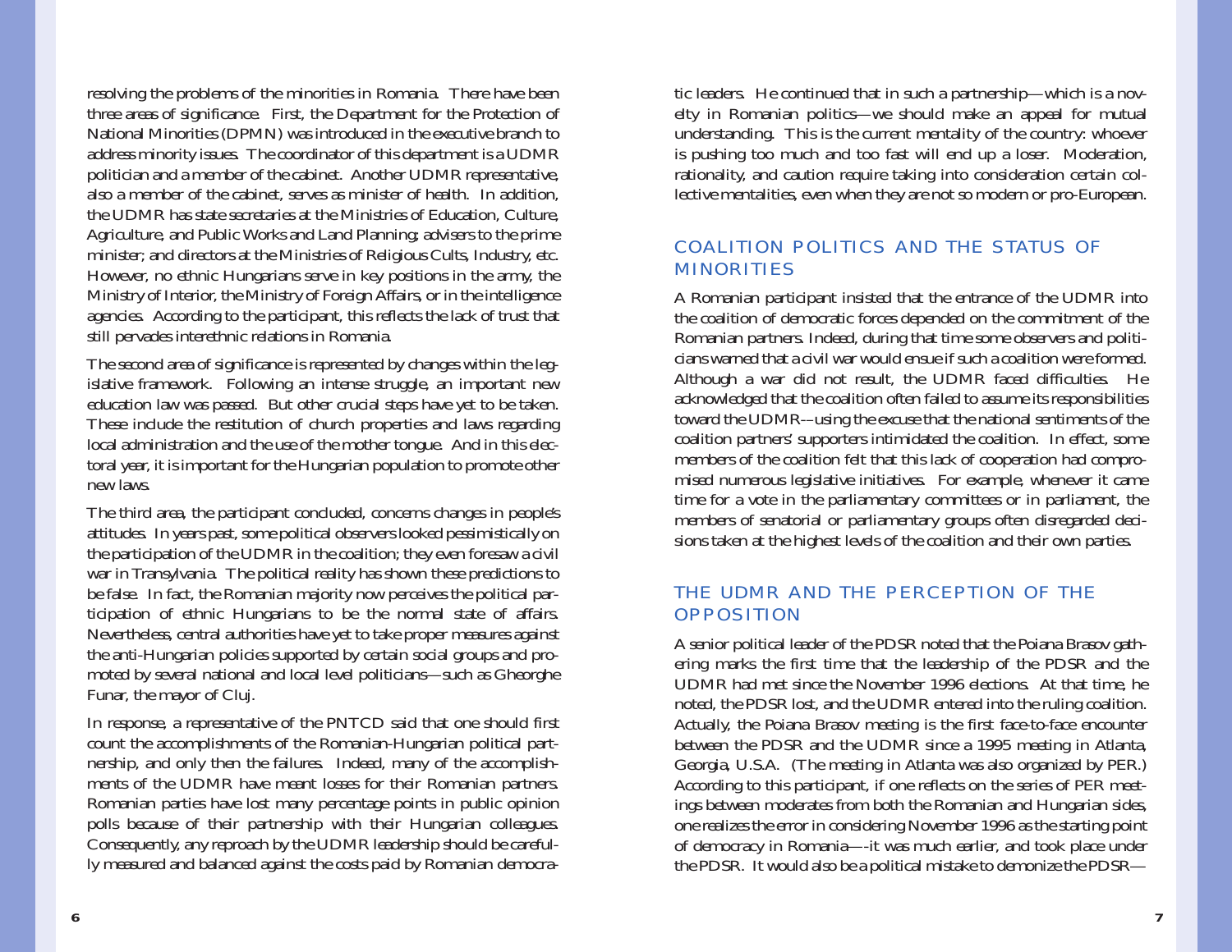resolving the problems of the minorities in Romania. There have been three areas of significance. First, the Department for the Protection of National Minorities (DPMN) was introduced in the executive branch to address minority issues. The coordinator of this department is a UDMR politician and a member of the cabinet. Another UDMR representative, also a member of the cabinet, serves as minister of health. In addition, the UDMR has state secretaries at the Ministries of Education, Culture, Agriculture, and Public Works and Land Planning; advisers to the prime minister; and directors at the Ministries of Religious Cults, Industry, etc. However, no ethnic Hungarians serve in key positions in the army, the Ministry of Interior, the Ministry of Foreign Affairs, or in the intelligence agencies. According to the participant, this reflects the lack of trust that still pervades interethnic relations in Romania.

The second area of significance is represented by changes within the legislative framework. Following an intense struggle, an important new education law was passed. But other crucial steps have yet to be taken. These include the restitution of church properties and laws regarding local administration and the use of the mother tongue. And in this electoral year, it is important for the Hungarian population to promote other new laws.

The third area, the participant concluded, concerns changes in people's attitudes. In years past, some political observers looked pessimistically on the participation of the UDMR in the coalition; they even foresaw a civil war in Transylvania. The political reality has shown these predictions to be false. In fact, the Romanian majority now perceives the political participation of ethnic Hungarians to be the normal state of affairs. Nevertheless, central authorities have yet to take proper measures against the anti-Hungarian policies supported by certain social groups and promoted by several national and local level politicians—such as Gheorghe Funar, the mayor of Cluj.

In response, a representative of the PNTCD said that one should first count the accomplishments of the Romanian-Hungarian political partnership, and only then the failures. Indeed, many of the accomplishments of the UDMR have meant losses for their Romanian partners. Romanian parties have lost many percentage points in public opinion polls because of their partnership with their Hungarian colleagues. Consequently, any reproach by the UDMR leadership should be carefully measured and balanced against the costs paid by Romanian democratic leaders. He continued that in such a partnership—which is a novelty in Romanian politics—we should make an appeal for mutual understanding. This is the current mentality of the country: whoever is pushing too much and too fast will end up a loser. Moderation, rationality, and caution require taking into consideration certain collective mentalities, even when they are not so modern or pro-European.

# COALITION POLITICS AND THE STATUS OFMINORITIES

A Romanian participant insisted that the entrance of the UDMR into the coalition of democratic forces depended on the commitment of the Romanian partners. Indeed, during that time some observers and politicians warned that a civil war would ensue if such a coalition were formed.Although a war did not result, the UDMR faced difficulties. He acknowledged that the coalition often failed to assume its responsibilities toward the UDMR-–using the excuse that the national sentiments of the coalition partners' supporters intimidated the coalition. In effect, some members of the coalition felt that this lack of cooperation had compromised numerous legislative initiatives. For example, whenever it came time for a vote in the parliamentary committees or in parliament, the members of senatorial or parliamentary groups often disregarded decisions taken at the highest levels of the coalition and their own parties.

## THE UDMR AND THE PERCEPTION OF THE**OPPOSITION**

A senior political leader of the PDSR noted that the Poiana Brasov gathering marks the first time that the leadership of the PDSR and the UDMR had met since the November 1996 elections. At that time, he noted, the PDSR lost, and the UDMR entered into the ruling coalition. Actually, the Poiana Brasov meeting is the first face-to-face encounter between the PDSR and the UDMR since a 1995 meeting in Atlanta, Georgia, U.S.A. (The meeting in Atlanta was also organized by PER.) According to this participant, if one reflects on the series of PER meetings between moderates from both the Romanian and Hungarian sides, one realizes the error in considering November 1996 as the starting point of democracy in Romania—-it was much earlier, and took place under the PDSR. It would also be a political mistake to demonize the PDSR—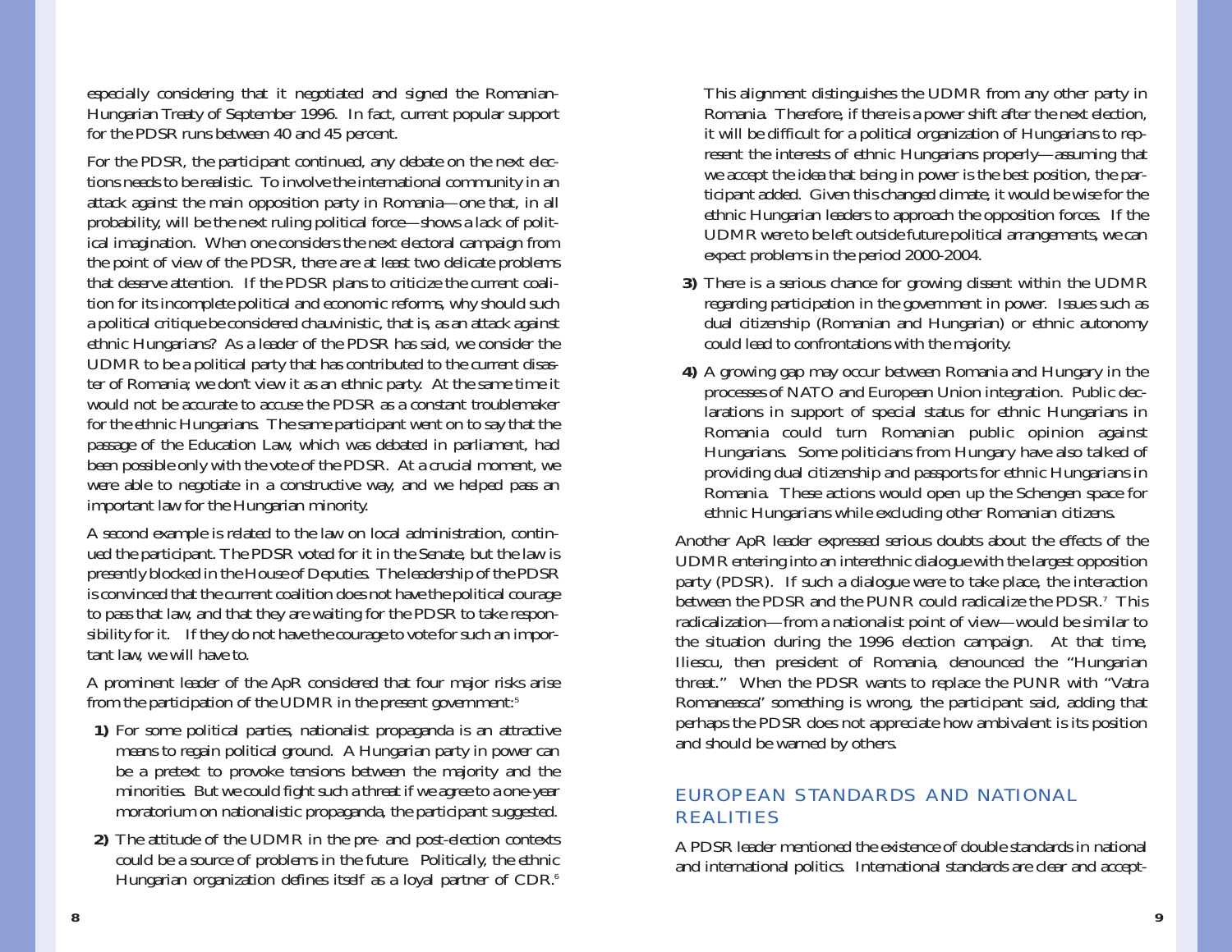especially considering that it negotiated and signed the Romanian- Hungarian Treaty of September 1996. In fact, current popular support for the PDSR runs between 40 and 45 percent.

For the PDSR, the participant continued, any debate on the next elec tions needs to be realistic. To involve the international community in an attack against the main opposition party in Romania—one that, in all probability, will be the next ruling political force—shows a lack of polit ical imagination. When one considers the next electoral campaign from the point of view of the PDSR, there are at least two delicate problems that deserve attention. If the PDSR plans to criticize the current coali tion for its incomplete political and economic reforms, why should such a political critique be considered chauvinistic, that is, as an attack against ethnic Hungarians? As a leader of the PDSR has said, we consider the UDMR to be a political party that has contributed to the current disas ter of Romania; we don't view it as an ethnic party. At the same time it would not be accurate to accuse the PDSR as a constant troublemakerfor the ethnic Hungarians. The same participant went on to say that the passage of the Education Law, which was debated in parliament, had been possible only with the vote of the PDSR. At a crucial moment, we were able to negotiate in a constructive way, and we helped pass an important law for the Hungarian minority. A second example is related to the law on local administration, contin-

ued the participant. The PDSR voted for it in the Senate, but the law is presently blocked in the House of Deputies. The leadership of the PDSR is convinced that the current coalition does not have the political courage to pass that law, and that they are waiting for the PDSR to take respon sibility for it. If they do not have the courage to vote for such an impor tant law, we will have to.

A prominent leader of the ApR considered that four major risks arise from the participation of the UDMR in the present government:<sup>5</sup>

- **1)** For some political parties, nationalist propaganda is an attractive means to regain political ground. A Hungarian party in power can be a pretext to provoke tensions between the majority and the minorities. But we could fight such a threat if we agree to a one-year moratorium on nationalistic propaganda, the participant suggested.
- **2)** The attitude of the UDMR in the pre- and post-election contexts could be a source of problems in the future. Politically, the ethnic Hungarian organization defines itself as a loyal partner of CDR.<sup>6</sup>

This alignment distinguishes the UDMR from any other party in Romania. Therefore, if there is a power shift after the next election, it will be difficult for a political organization of Hungarians to represent the interests of ethnic Hungarians properly—assuming that we accept the idea that being in power is the best position, the participant added. Given this changed climate, it would be wise for the ethnic Hungarian leaders to approach the opposition forces. If the UDMR were to be left outside future political arrangements, we can expect problems in the period 2000-2004.

- **3)** There is a serious chance for growing dissent within the UDMR regarding participation in the government in power. Issues such as dual citizenship (Romanian and Hungarian) or ethnic autonomy could lead to confrontations with the majority.
- **4)** A growing gap may occur between Romania and Hungary in the processes of NATO and European Union integration. Public declarations in support of special status for ethnic Hungarians in Romania could turn Romanian public opinion against Hungarians. Some politicians from Hungary have also talked of providing dual citizenship and passports for ethnic Hungarians in Romania. These actions would open up the Schengen space for ethnic Hungarians while excluding other Romanian citizens.

Another ApR leader expressed serious doubts about the effects of the UDMR entering into an interethnic dialogue with the largest opposition party (PDSR). If such a dialogue were to take place, the interaction between the PDSR and the PUNR could radicalize the PDSR.7 Thisradicalization—from a nationalist point of view—would be similar to the situation during the 1996 election campaign. At that time, Iliescu, then president of Romania, denounced the "Hungarian threat." When the PDSR wants to replace the PUNR with "Vatra Romaneasca" something is wrong, the participant said, adding that perhaps the PDSR does not appreciate how ambivalent is its position and should be warned by others.

# EUROPEAN STANDARDS AND NATIONAL REALITIES

A PDSR leader mentioned the existence of double standards in nationaland international politics. International standards are clear and accept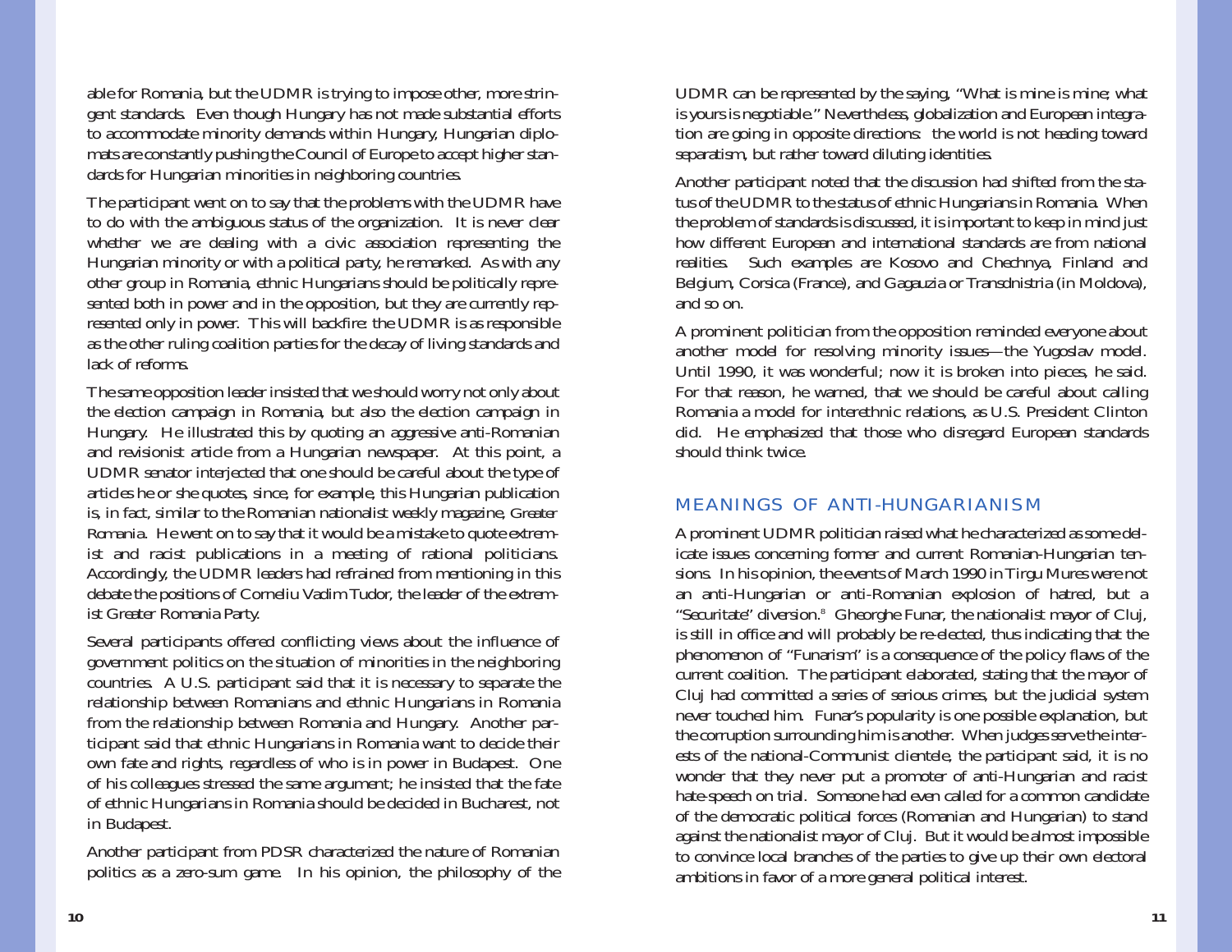able for Romania, but the UDMR is trying to impose other, more stringent standards. Even though Hungary has not made substantial efforts to accommodate minority demands within Hungary, Hungarian diplomats are constantly pushing the Council of Europe to accept higher standards for Hungarian minorities in neighboring countries.

The participant went on to say that the problems with the UDMR have to do with the ambiguous status of the organization. It is never clear whether we are dealing with a civic association representing the Hungarian minority or with a political party, he remarked. As with any other group in Romania, ethnic Hungarians should be politically represented both in power and in the opposition, but they are currently represented only in power. This will backfire: the UDMR is as responsible as the other ruling coalition parties for the decay of living standards and lack of reforms.

The same opposition leader insisted that we should worry not only about the election campaign in Romania, but also the election campaign in Hungary. He illustrated this by quoting an aggressive anti-Romanian and revisionist article from a Hungarian newspaper. At this point, a UDMR senator interjected that one should be careful about the type of articles he or she quotes, since, for example, this Hungarian publication is, in fact, similar to the Romanian nationalist weekly magazine, *Greater Romania.* He went on to say that it would be a mistake to quote extremist and racist publications in a meeting of rational politicians. Accordingly, the UDMR leaders had refrained from mentioning in this debate the positions of Corneliu Vadim Tudor, the leader of the extremist Greater Romania Party.

Several participants offered conflicting views about the influence of government politics on the situation of minorities in the neighboring countries. A U.S. participant said that it is necessary to separate the relationship between Romanians and ethnic Hungarians in Romania from the relationship between Romania and Hungary. Another participant said that ethnic Hungarians in Romania want to decide their own fate and rights, regardless of who is in power in Budapest. One of his colleagues stressed the same argument; he insisted that the fate of ethnic Hungarians in Romania should be decided in Bucharest, not in Budapest.

Another participant from PDSR characterized the nature of Romanian politics as a zero-sum game. In his opinion, the philosophy of the UDMR can be represented by the saying, "What is mine is mine; what is yours is negotiable." Nevertheless, globalization and European integration are going in opposite directions: the world is not heading toward separatism, but rather toward diluting identities.

Another participant noted that the discussion had shifted from the status of the UDMR to the status of ethnic Hungarians in Romania. When the problem of standards is discussed, it is important to keep in mind just how different European and international standards are from national realities. Such examples are Kosovo and Chechnya, Finland and Belgium, Corsica (France), and Gagauzia or Transdnistria (in Moldova), and so on.

A prominent politician from the opposition reminded everyone about another model for resolving minority issues—the Yugoslav model. Until 1990, it was wonderful; now it is broken into pieces, he said. For that reason, he warned, that we should be careful about calling Romania a model for interethnic relations, as U.S. President Clinton did. He emphasized that those who disregard European standards should think twice.

### MEANINGS OF ANTI-HUNGARIANISM

A prominent UDMR politician raised what he characterized as some delicate issues concerning former and current Romanian-Hungarian tensions. In his opinion, the events of March 1990 in Tirgu Mures were not an anti-Hungarian or anti-Romanian explosion of hatred, but a "Securitate" diversion.8 Gheorghe Funar, the nationalist mayor of Cluj, is still in office and will probably be re-elected, thus indicating that the phenomenon of "Funarism" is a consequence of the policy flaws of the current coalition. The participant elaborated, stating that the mayor of Cluj had committed a series of serious crimes, but the judicial system never touched him. Funar's popularity is one possible explanation, but the corruption surrounding him is another. When judges serve the interests of the national-Communist clientele, the participant said, it is no wonder that they never put a promoter of anti-Hungarian and racist hate-speech on trial. Someone had even called for a common candidate of the democratic political forces (Romanian and Hungarian) to stand against the nationalist mayor of Cluj. But it would be almost impossible to convince local branches of the parties to give up their own electoral ambitions in favor of a more general political interest.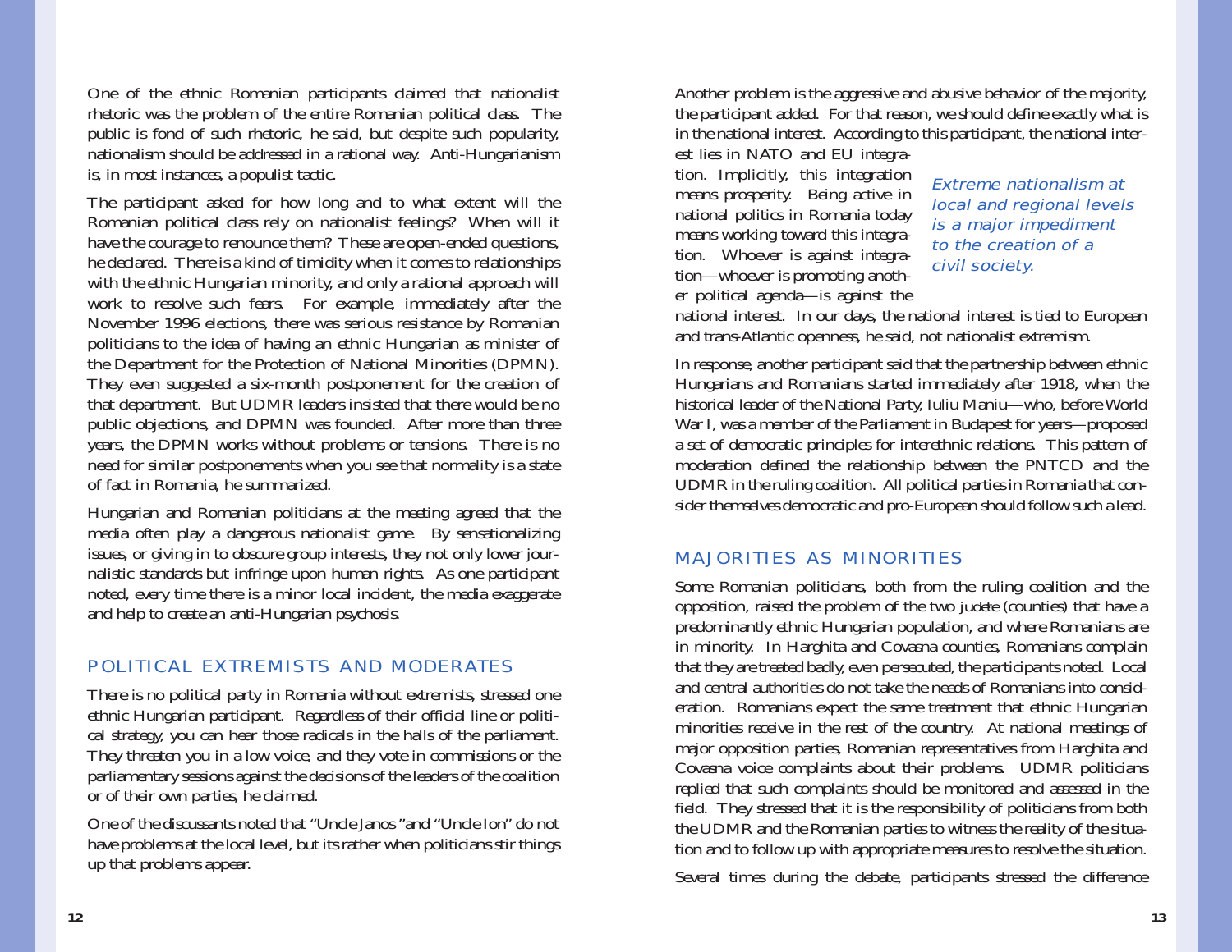One of the ethnic Romanian participants claimed that nationalist rhetoric was the problem of the entire Romanian political class. The public is fond of such rhetoric, he said, but despite such popularity, nationalism should be addressed in a rational way. Anti-Hungarianism is, in most instances, a populist tactic.

The participant asked for how long and to what extent will the Romanian political class rely on nationalist feelings? When will it have the courage to renounce them? These are open-ended questions, he declared. There is a kind of timidity when it comes to relationships with the ethnic Hungarian minority, and only a rational approach will work to resolve such fears. For example, immediately after the November 1996 elections, there was serious resistance by Romanian politicians to the idea of having an ethnic Hungarian as minister of the Department for the Protection of National Minorities (DPMN). They even suggested a six-month postponement for the creation of that department. But UDMR leaders insisted that there would be no public objections, and DPMN was founded. After more than three years, the DPMN works without problems or tensions. There is no need for similar postponements when you see that normality is a state of fact in Romania, he summarized.

Hungarian and Romanian politicians at the meeting agreed that the media often play a dangerous nationalist game. By sensationalizing issues, or giving in to obscure group interests, they not only lower journalistic standards but infringe upon human rights. As one participant noted, every time there is a minor local incident, the media exaggerate and help to create an anti-Hungarian psychosis.

# POLITICAL EXTREMISTS AND MODERATES

There is no political party in Romania without extremists, stressed one ethnic Hungarian participant. Regardless of their official line or political strategy, you can hear those radicals in the halls of the parliament. They threaten you in a low voice, and they vote in commissions or the parliamentary sessions against the decisions of the leaders of the coalition or of their own parties, he claimed.

One of the discussants noted that "Uncle Janos "and "Uncle Ion" do not have problems at the local level, but its rather when politicians stir things up that problems appear.

Another problem is the aggressive and abusive behavior of the majority, the participant added. For that reason, we should define exactly what is in the national interest. According to this participant, the national interest lies in NATO and EU integra-

tion. Implicitly, this integration means prosperity. Being active in national politics in Romania today means working toward this integration. Whoever is against integration—whoever is promoting another political agenda—is against the

### Extreme nationalism atlocal and regional levels is a major impediment to the creation of a civil society.

national interest. In our days, the national interest is tied to European and trans-Atlantic openness, he said, not nationalist extremism.

In response, another participant said that the partnership between ethnic Hungarians and Romanians started immediately after 1918, when the historical leader of the National Party, Iuliu Maniu—who, before World War I, was a member of the Parliament in Budapest for years—proposed a set of democratic principles for interethnic relations. This pattern of moderation defined the relationship between the PNTCD and the UDMR in the ruling coalition. All political parties in Romania that consider themselves democratic and pro-European should follow such a lead.

# MAJORITIES AS MINORITIES

Some Romanian politicians, both from the ruling coalition and the opposition, raised the problem of the two *judete* (counties) that have a predominantly ethnic Hungarian population, and where Romanians are in minority. In Harghita and Covasna counties, Romanians complain that they are treated badly, even persecuted, the participants noted. Local and central authorities do not take the needs of Romanians into consideration. Romanians expect the same treatment that ethnic Hungarian minorities receive in the rest of the country. At national meetings of major opposition parties, Romanian representatives from Harghita and Covasna voice complaints about their problems. UDMR politicians replied that such complaints should be monitored and assessed in the field. They stressed that it is the responsibility of politicians from both the UDMR and the Romanian parties to witness the reality of the situation and to follow up with appropriate measures to resolve the situation.

Several times during the debate, participants stressed the difference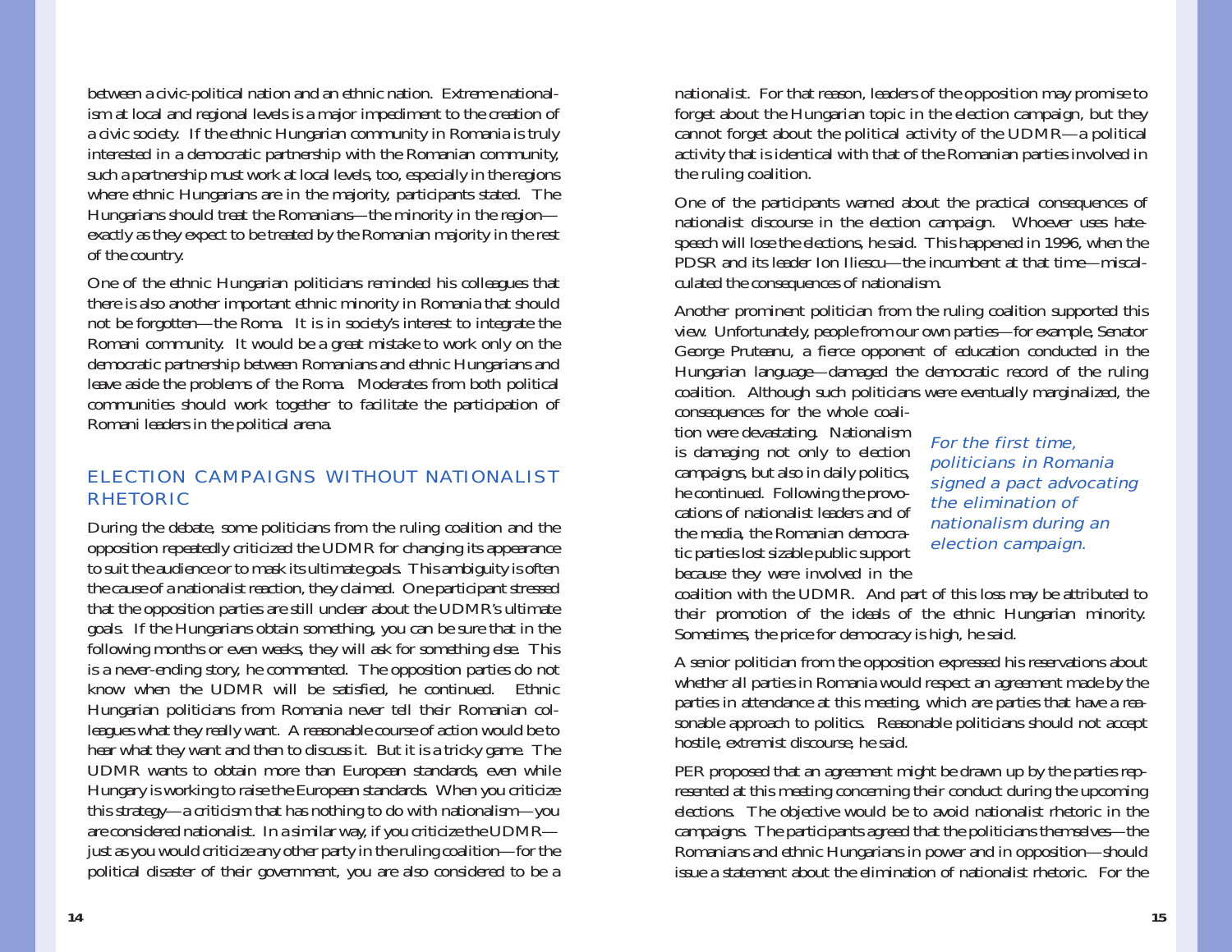between a civic-political nation and an ethnic nation. Extreme nationalism at local and regional levels is a major impediment to the creation of a civic society. If the ethnic Hungarian community in Romania is truly interested in a democratic partnership with the Romanian community, such a partnership must work at local levels, too, especially in the regions where ethnic Hungarians are in the majority, participants stated. The Hungarians should treat the Romanians—the minority in the region exactly as they expect to be treated by the Romanian majority in the rest of the country.

One of the ethnic Hungarian politicians reminded his colleagues that there is also another important ethnic minority in Romania that should not be forgotten—the Roma. It is in society's interest to integrate the Romani community. It would be a great mistake to work only on the democratic partnership between Romanians and ethnic Hungarians and leave aside the problems of the Roma. Moderates from both political communities should work together to facilitate the participation of Romani leaders in the political arena.

# ELECTION CAMPAIGNS WITHOUT NATIONALISTRHETORIC

During the debate, some politicians from the ruling coalition and the opposition repeatedly criticized the UDMR for changing its appearance to suit the audience or to mask its ultimate goals. This ambiguity is often the cause of a nationalist reaction, they claimed. One participant stressed that the opposition parties are still unclear about the UDMR's ultimate goals. If the Hungarians obtain something, you can be sure that in the following months or even weeks, they will ask for something else. This is a never-ending story, he commented. The opposition parties do not know when the UDMR will be satisfied, he continued. Ethnic Hungarian politicians from Romania never tell their Romanian colleagues what they really want. A reasonable course of action would be to hear what they want and then to discuss it. But it is a tricky game. The UDMR wants to obtain more than European standards, even while Hungary is working to raise the European standards. When you criticize this strategy—a criticism that has nothing to do with nationalism—you are considered nationalist. In a similar way, if you criticize the UDMR just as you would criticize any other party in the ruling coalition—for the political disaster of their government, you are also considered to be a

nationalist. For that reason, leaders of the opposition may promise to forget about the Hungarian topic in the election campaign, but they cannot forget about the political activity of the UDMR—a political activity that is identical with that of the Romanian parties involved in the ruling coalition.

One of the participants warned about the practical consequences of nationalist discourse in the election campaign. Whoever uses hatespeech will lose the elections, he said. This happened in 1996, when the PDSR and its leader Ion Iliescu—the incumbent at that time—miscalculated the consequences of nationalism.

Another prominent politician from the ruling coalition supported this view. Unfortunately, people from our own parties—for example, Senator George Pruteanu, a fierce opponent of education conducted in the Hungarian language—damaged the democratic record of the ruling coalition. Although such politicians were eventually marginalized, the

consequences for the whole coalition were devastating. Nationalism is damaging not only to election campaigns, but also in daily politics, he continued. Following the provocations of nationalist leaders and ofthe media, the Romanian democratic parties lost sizable public support because they were involved in the

For the first time, politicians in Romania signed a pact advocating the elimination of nationalism during an election campaign.

coalition with the UDMR. And part of this loss may be attributed to their promotion of the ideals of the ethnic Hungarian minority. Sometimes, the price for democracy is high, he said.

A senior politician from the opposition expressed his reservations about whether all parties in Romania would respect an agreement made by the parties in attendance at this meeting, which are parties that have a reasonable approach to politics. Reasonable politicians should not accept hostile, extremist discourse, he said.

PER proposed that an agreement might be drawn up by the parties represented at this meeting concerning their conduct during the upcoming elections. The objective would be to avoid nationalist rhetoric in the campaigns. The participants agreed that the politicians themselves—the Romanians and ethnic Hungarians in power and in opposition—should issue a statement about the elimination of nationalist rhetoric. For the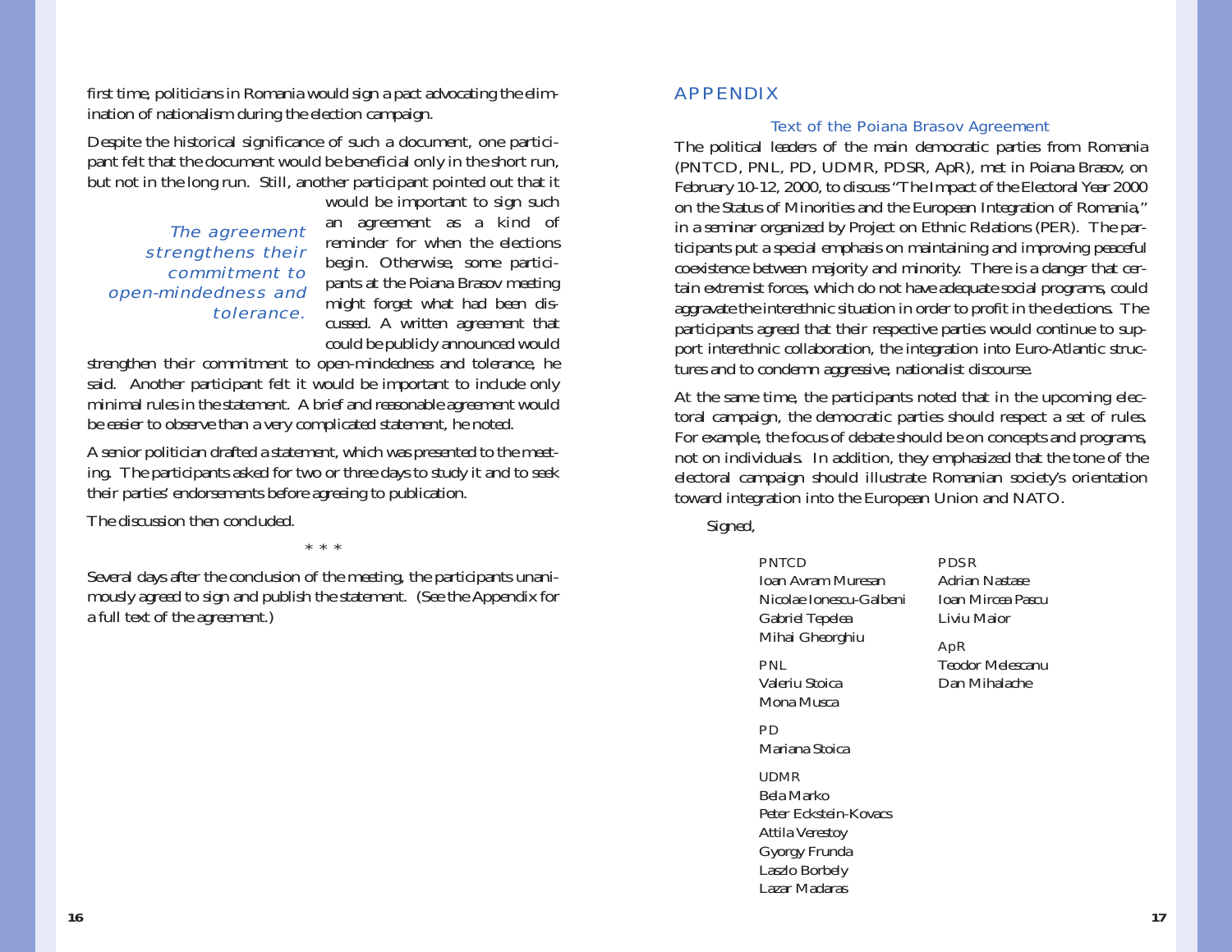first time, politicians in Romania would sign a pact advocating the elimination of nationalism during the election campaign.

Despite the historical significance of such a document, one participant felt that the document would be beneficial only in the short run, but not in the long run. Still, another participant pointed out that it

The agreement strengthens their commitment to open-mindedness and tolerance.

would be important to sign such an agreement as a kind of reminder for when the electionsbegin. Otherwise, some participants at the Poiana Brasov meeting might forget what had been discussed. A written agreement that could be publicly announced would

strengthen their commitment to open-mindedness and tolerance, he said. Another participant felt it would be important to include only minimal rules in the statement. A brief and reasonable agreement would be easier to observe than a very complicated statement, he noted.

A senior politician drafted a statement, which was presented to the meeting. The participants asked for two or three days to study it and to seek their parties' endorsements before agreeing to publication.

The discussion then concluded.

\*\*\*

Several days after the conclusion of the meeting, the participants unanimously agreed to sign and publish the statement. (See the Appendix for a full text of the agreement.)

### APPENDIX

#### Text of the Poiana Brasov Agreement

The political leaders of the main democratic parties from Romania (PNTCD, PNL, PD, UDMR, PDSR, ApR), met in Poiana Brasov, on February 10-12, 2000, to discuss "The Impact of the Electoral Year 2000 on the Status of Minorities and the European Integration of Romania," in a seminar organized by Project on Ethnic Relations (PER). The participants put a special emphasis on maintaining and improving peaceful coexistence between majority and minority. There is a danger that certain extremist forces, which do not have adequate social programs, could aggravate the interethnic situation in order to profit in the elections. The participants agreed that their respective parties would continue to support interethnic collaboration, the integration into Euro-Atlantic structures and to condemn aggressive, nationalist discourse.

At the same time, the participants noted that in the upcoming electoral campaign, the democratic parties should respect a set of rules. For example, the focus of debate should be on concepts and programs, not on individuals. In addition, they emphasized that the tone of the electoral campaign should illustrate Romanian society's orientation toward integration into the European Union and NATO.

Signed,

#### PNTCD Ioan Avram MuresanNicolae Ionescu-GalbeniGabriel Tepelea Mihai Gheorghiu

PNLValeriu StoicaMona Musca

PDMariana Stoica

#### UDMR

Bela MarkoPeter Eckstein-Kovacs Attila Verestoy Gyorgy Frunda Laszlo Borbely Lazar Madaras

Adrian NastaseIoan Mircea PascuLiviu Maior

### ApR

PDSR

Teodor MelescanuDan Mihalache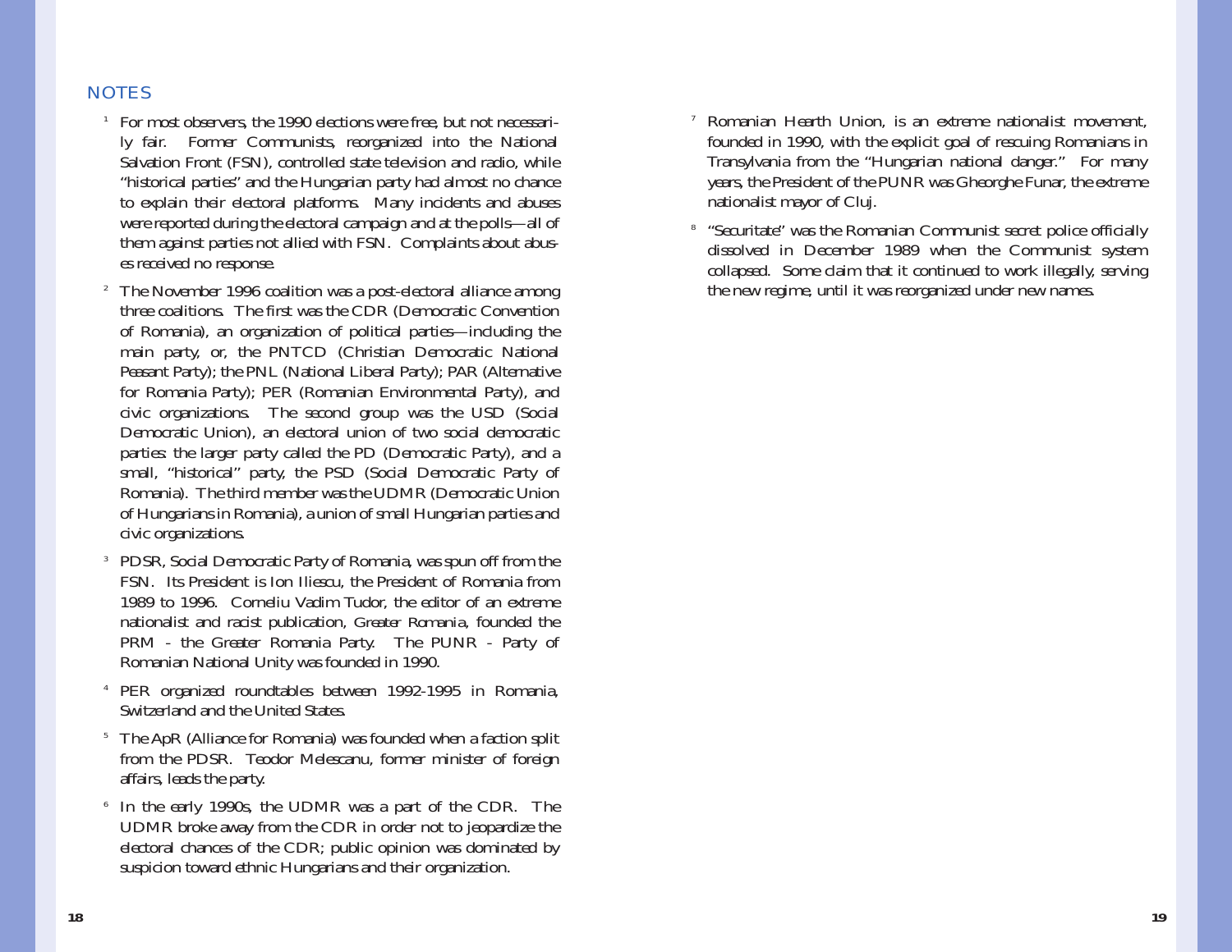## NOTES

- $1$  For most observers, the 1990 elections were free, but not necessarily fair. Former Communists, reorganized into the National Salvation Front (FSN), controlled state television and radio, while "historical parties" and the Hungarian party had almost no chance to explain their electoral platforms. Many incidents and abuses were reported during the electoral campaign and at the polls—all of them against parties not allied with FSN. Complaints about abuses received no response.
- $^{\rm 2}$  The November 1996 coalition was a post-electoral alliance among three coalitions. The first was the CDR (Democratic Convention of Romania), an organization of political parties—including the main party, or, the PNTCD (Christian Democratic National Peasant Party); the PNL (National Liberal Party); PAR (Alternative for Romania Party); PER (Romanian Environmental Party), and civic organizations. The second group was the USD (Social Democratic Union), an electoral union of two social democratic parties: the larger party called the PD (Democratic Party), and a small, "historical" party, the PSD (Social Democratic Party of Romania). The third member was the UDMR (Democratic Union of Hungarians in Romania), a union of small Hungarian parties and civic organizations.
- 3 PDSR, Social Democratic Party of Romania, was spun off from the FSN. Its President is Ion Iliescu, the President of Romania from 1989 to 1996. Corneliu Vadim Tudor, the editor of an extreme nationalist and racist publication, *Greater Romania,* founded the PRM - the Greater Romania Party. The PUNR - Party of Romanian National Unity was founded in 1990.
- 4 PER organized roundtables between 1992-1995 in Romania, Switzerland and the United States.
- <sup>5</sup> The ApR (Alliance for Romania) was founded when a faction split from the PDSR. Teodor Melescanu, former minister of foreign affairs, leads the party.
- 6 In the early 1990s, the UDMR was a part of the CDR. The UDMR broke away from the CDR in order not to jeopardize the electoral chances of the CDR; public opinion was dominated by suspicion toward ethnic Hungarians and their organization.
- 7 Romanian Hearth Union, is an extreme nationalist movement, founded in 1990, with the explicit goal of rescuing Romanians in Transylvania from the "Hungarian national danger." For many years, the President of the PUNR was Gheorghe Funar, the extreme nationalist mayor of Cluj.
- 8 "Securitate" was the Romanian Communist secret police officially dissolved in December 1989 when the Communist system collapsed. Some claim that it continued to work illegally, serving the new regime, until it was reorganized under new names.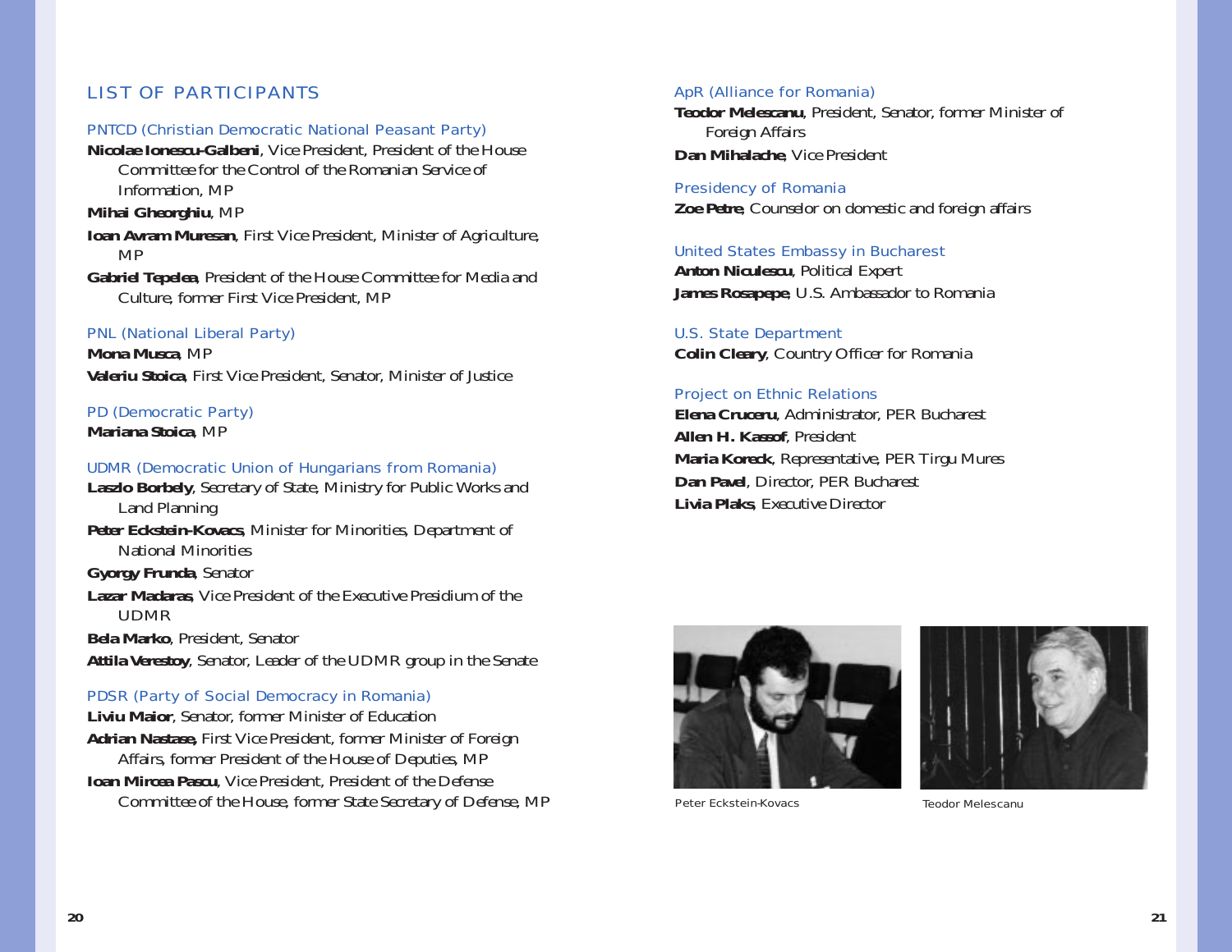## LIST OF PARTICIPANTS

#### PNTCD (Christian Democratic National Peasant Party)

**Nicolae Ionescu-Galbeni**, Vice President, President of the House Committee for the Control of the Romanian Service ofInformation, MP

**Mihai Gheorghiu**, MP

- **Ioan Avram Muresan**, First Vice President, Minister of Agriculture, MP
- **Gabriel Tepelea**, President of the House Committee for Media and Culture, former First Vice President, MP

#### PNL (National Liberal Party)

**Mona Musca**, MP **Valeriu Stoica**, First Vice President, Senator, Minister of Justice

## PD (Democratic Party)

**Mariana Stoica**, MP

#### UDMR (Democratic Union of Hungarians from Romania)

**Laszlo Borbely**, Secretary of State, Ministry for Public Works and Land Planning

**Peter Eckstein-Kovacs**, Minister for Minorities, Department of National Minorities

**Gyorgy Frunda**, Senator

**Lazar Madaras**, Vice President of the Executive Presidium of the UDMR

**Bela Marko**, President, Senator

**Attila Verestoy**, Senator, Leader of the UDMR group in the Senate

#### PDSR (Party of Social Democracy in Romania)

**Liviu Maior**, Senator, former Minister of Education **Adrian Nastase,** First Vice President, former Minister of Foreign Affairs, former President of the House of Deputies, MP **Ioan Mircea Pascu**, Vice President, President of the Defense Committee of the House, former State Secretary of Defense, MP

#### ApR (Alliance for Romania)

**Teodor Melescanu**, President, Senator, former Minister of Foreign Affairs **Dan Mihalache**, Vice President

Presidency of Romania **Zoe Petre**, Counselor on domestic and foreign affairs

### United States Embassy in Bucharest **Anton Niculescu**, Political Expert **James Rosapepe**, U.S. Ambassador to Romania

U.S. State Department **Colin Cleary**, Country Officer for Romania

#### Project on Ethnic Relations

**Elena Cruceru**, Administrator, PER Bucharest **Allen H. Kassof**, President **Maria Koreck**, Representative, PER Tirgu Mures **Dan Pavel**, Director, PER Bucharest **Livia Plaks**, Executive Director





Peter Eckstein-Kovacs

Teodor Melescanu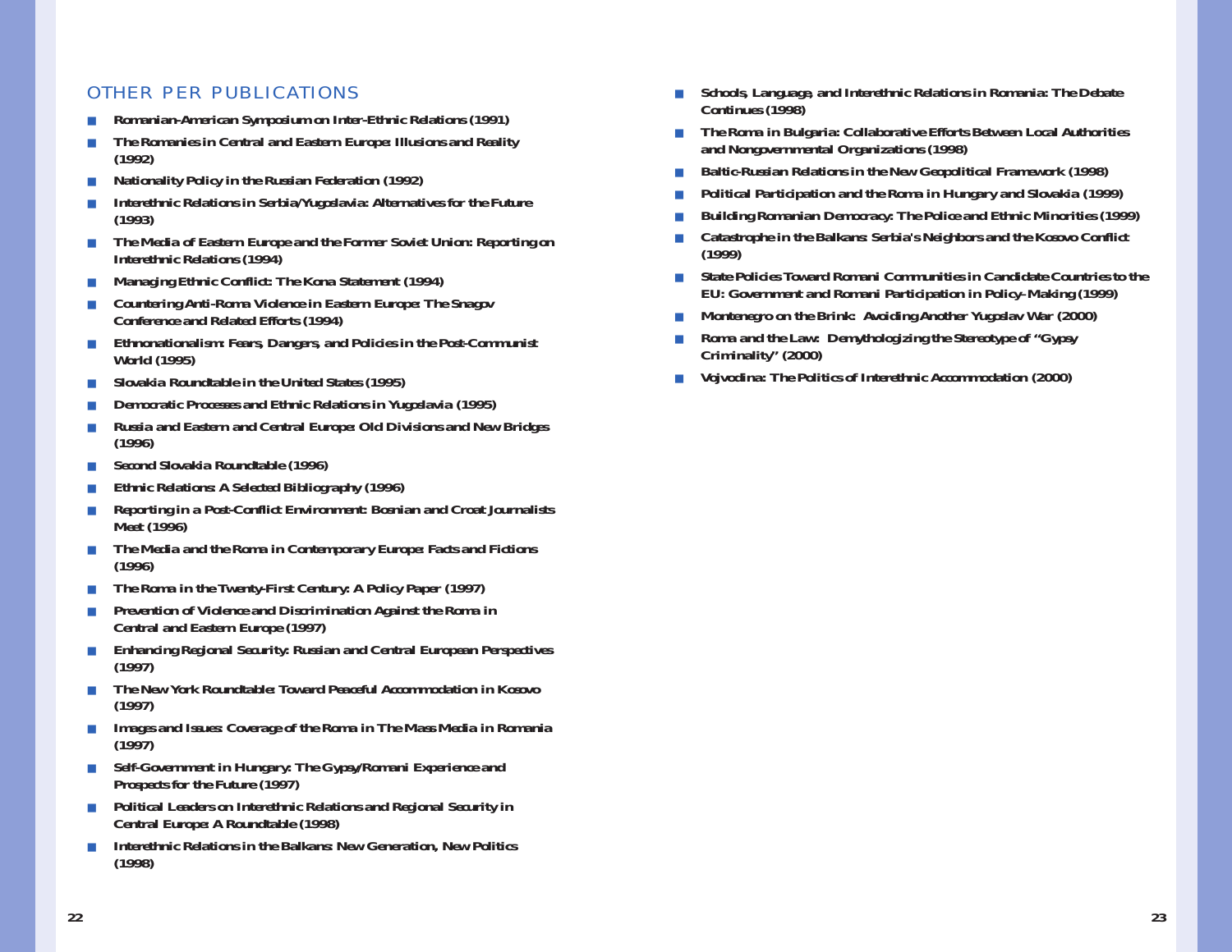### OTHER PER PUBLICATIONS

- *Romanian-American Symposium on Inter-Ethnic Relations (1991)*
- *The Romanies in Central and Eastern Europe: Illusions and Reality (1992)*
- ■*Nationality Policy in the Russian Federation (1992)*
- *Interethnic Relations in Serbia/Yugoslavia: Alternatives for the Future (1993)*
- ■ *The Media of Eastern Europe and the Former Soviet Union: Reporting on Interethnic Relations (1994)*
- ■*Managing Ethnic Conflict: The Kona Statement (1994)*
- ■ *Countering Anti-Roma Violence in Eastern Europe: The Snagov Conference and Related Efforts (1994)*
- ■ *Ethnonationalism: Fears, Dangers, and Policies in the Post-Communist World (1995)*
- ■*Slovakia Roundtable in the United States (1995)*
- ■*Democratic Processes and Ethnic Relations in Yugoslavia (1995)*
- ■ *Russia and Eastern and Central Europe: Old Divisions and New Bridges (1996)*
- ■*Second Slovakia Roundtable (1996)*
- *Ethnic Relations: A Selected Bibliography (1996)*
- *Reporting in a Post-Conflict Environment: Bosnian and Croat Journalists Meet (1996)*
- ■ *The Media and the Roma in Contemporary Europe: Facts and Fictions (1996)*
- ■*The Roma in the Twenty-First Century: A Policy Paper (1997)*
- ■ *Prevention of Violence and Discrimination Against the Roma in Central and Eastern Europe (1997)*
- ■ *Enhancing Regional Security: Russian and Central European Perspectives (1997)*
- ■ *The New York Roundtable: Toward Peaceful Accommodation in Kosovo (1997)*
- ■ *Images and Issues: Coverage of the Roma in The Mass Media in Romania (1997)*
- ■ *Self-Government in Hungary: The Gypsy/Romani Experience and Prospects for the Future (1997)*
- ■ *Political Leaders on Interethnic Relations and Regional Security in Central Europe: A Roundtable (1998)*
- *Interethnic Relations in the Balkans: New Generation, New Politics (1998)*
- ■ *Schools, Language, and Interethnic Relations in Romania: The Debate Continues (1998)*
- ■ *The Roma in Bulgaria: Collaborative Efforts Between Local Authorities and Nongovernmental Organizations (1998)*
- ■*Baltic-Russian Relations in the New Geopolitical Framework (1998)*
- ■*Political Participation and the Roma in Hungary and Slovakia (1999)*
- ■*Building Romanian Democracy: The Police and Ethnic Minorities (1999)*
- ■ *Catastrophe in the Balkans: Serbia's Neighbors and the Kosovo Conflict (1999)*
- ■ *State Policies Toward Romani Communities in Candidate Countries to the EU: Government and Romani Participation in Policy–Making (1999)*
- ■*Montenegro on the Brink: Avoiding Another Yugoslav War (2000)*
- ■ *Roma and the Law: Demythologizing the Stereotype of "Gypsy Criminality" (2000)*
- ■*Vojvodina: The Politics of Interethnic Accommodation (2000)*